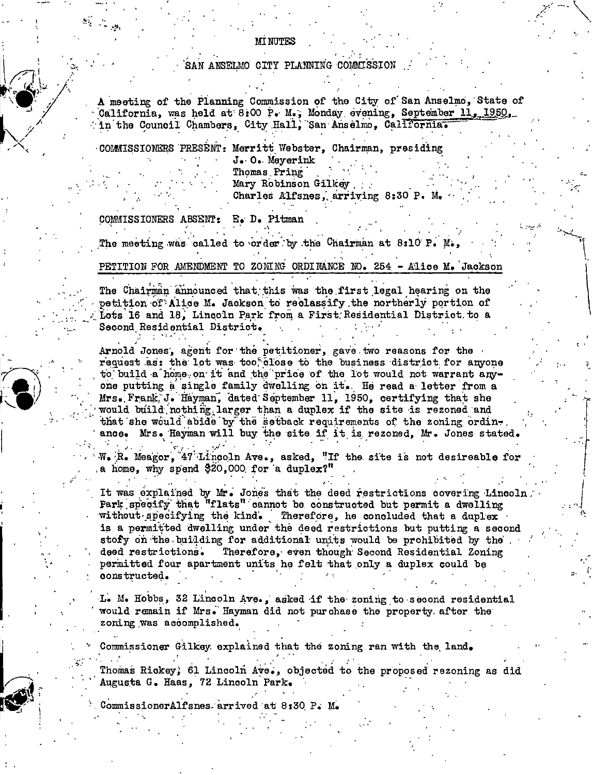## SAN ANSELMO CITY PLANNING COMMISSION

A meeting of the Planning Commission of the City of San Anselmo, State of California, was held at 8:00 P. M., Monday evening, September 11, 1950, in the Council Chambers, City Hall, San Anselmo, California.

COMMISSIONERS PRESENT: Merritt Webster, Chairman, presiding J. O. Meyerink Thomas Pring

Mary Robinson Gilkey Charles Alfsnes, arriving 8:30 P. M.

COMMISSIONERS ABSENT: E. D. Pitman

The meeting was called to order by the Chairman at 8:10 P.

PETITION FOR AMENDMENT TO ZONING ORDINANCE NO. 254 - Alice M. Jackson

The Chairman announced that this was the first legal hearing on the petition of Alice M. Jackson to reclassify the northerly portion of Lots 16 and 18. Lincoln Park from a First Residential District to a Second Residential District.

Arnold Jones, agent for the petitioner, gave two reasons for the request as: the lot was too close to the business district for anyone to build a home on it and the price of the lot would not warrant anyone putting a single family dwelling on it. He read a letter from a Mrs. Frank J. Hayman, dated September 11, 1950, certifying that she would build nothing larger than a duplex if the site is rezoned and that she would abide by the setback requirements of the zoning ordinance. Mrs. Hayman will buy the site if it is rezoned, Mr. Jones stated.

W. R. Meagor,  $47$  Lincoln Ave., asked, "If the site is not desireable for a home, why spend \$20,000 for a duplex?"

It was explained by Mr. Jones that the deed restrictions covering Lincoln. Park specify that "flats" cannot be constructed but permit a dwelling without specifying the kind. Therefore, he concluded that a duplex is a permitted dwelling under the deed restrictions but putting a second stofy on the building for additional units would be prohibited by the Therefore, even though Second Residential Zoning deed restrictions. permitted four apartment units he felt that only a duplex could be constructed.

L. M. Hobbs, 32 Lincoln Ave., asked if the zoning to second residential would remain if Mrs. Hayman did not purchase the property after the zoning was accomplished.

Commissioner Gilkey explained that the zoning ran with the land.

Thomas Rickey, 61 Lincoln Ave., objected to the proposed rezoning as did Augusta G. Haas, 72 Lincoln Park.

CommissionerAlfsnes arrived at 8:30 P. M.

## **MINUTES**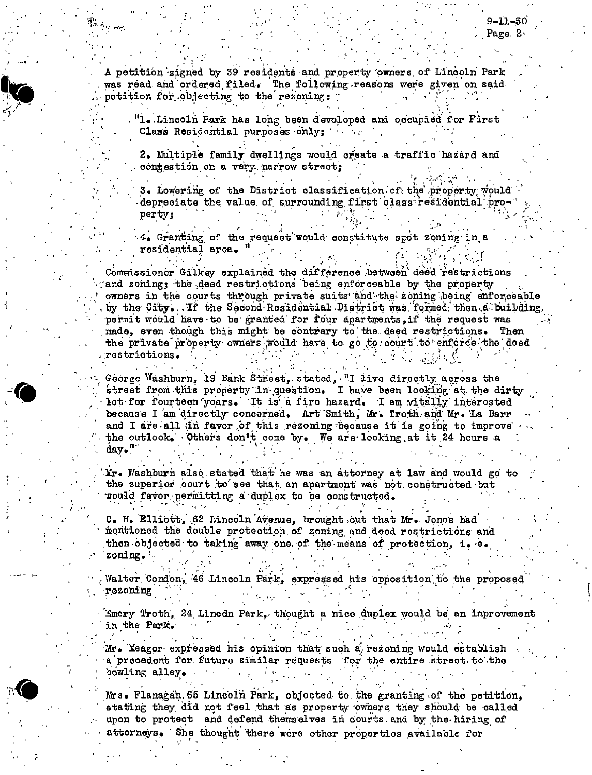A petition signed by 39 residents and property owners of Lincoln Park was read and ordered filed. The following reasons were given on said petition for objecting to the rezoning:

"1. Lincoln Park has long been developed and occupied for First Class Residential purposes only;

2. Multiple family dwellings would create a traffic hazard and contestion on a very narrow street;

3. Lowering of the District classification of the property would depreciate the value of surrounding first class residential property:

4. Granting of the request would constitute spot zoning in a residential area. '

Commissioner Gilkey explained the difference between deed restrictions and zoning; the deed restrictions being enforceable by the property owners in the courts through private suits and the zoning being enforceable by the City. If the Second Residential District was formed then a building. permit would have to be granted for four apartments if the request was made, even though this might be contrary to the deed restrictions. Then the private property owners would have to go to court to enforce the deed restrictions.

George Washburn, 19 Bank Street, stated, "I live directly across the street from this property in question. I have been looking at the dirty lot for fourteen years. It is a fire hazard. I am vitally interested because I am directly concerned. Art Smith, Mr. Troth and Mr. La Barr and I are all in favor of this rezoning because it is going to improve the outlook. Others don't come by. We are looking at it 24 hours a day."

Mr. Washburn also stated that he was an attorney at law and would go to the superior court to see that an apartment was not constructed but would favor permitting a duplex to be constructed.

C. H. Elliott, 62 Lincoln Avenue, brought out that Mr. Jones had mentioned the double protection of zoning and deed restrictions and then objected to taking away one of the means of protection, i. e. zoning.

Walter Condon, 46 Lincoln Park, expressed his opposition to the proposed rezoning

Emory Troth, 24 Lincon Park, thought a nice duplex would be an improvement in the Park.

Mr. Meagor expressed his opinion that such a rezoning would establish a precedent for future similar requests for the entire street to the bowling alley.

Mrs. Flanagan 65 Lincoln Park, objected to the granting of the petition, stating they did not feel that as property owners they should be called upon to protect and defend themselves in courts and by the hiring of attorneys. She thought there were other properties available for